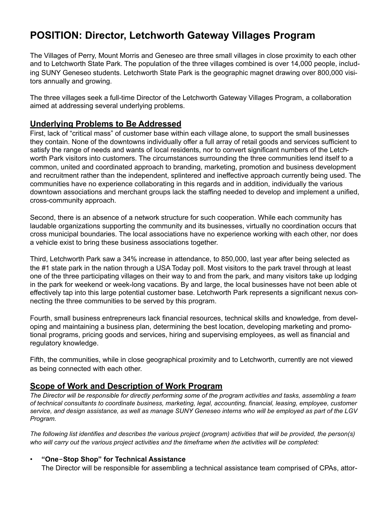# **POSITION: Director, Letchworth Gateway Villages Program**

The Villages of Perry, Mount Morris and Geneseo are three small villages in close proximity to each other and to Letchworth State Park. The population of the three villages combined is over 14,000 people, including SUNY Geneseo students. Letchworth State Park is the geographic magnet drawing over 800,000 visitors annually and growing.

The three villages seek a full-time Director of the Letchworth Gateway Villages Program, a collaboration aimed at addressing several underlying problems.

#### **Underlying Problems to Be Addressed**

First, lack of "critical mass" of customer base within each village alone, to support the small businesses they contain. None of the downtowns individually offer a full array of retail goods and services sufficient to satisfy the range of needs and wants of local residents, nor to convert significant numbers of the Letchworth Park visitors into customers. The circumstances surrounding the three communities lend itself to a common, united and coordinated approach to branding, marketing, promotion and business development and recruitment rather than the independent, splintered and ineffective approach currently being used. The communities have no experience collaborating in this regards and in addition, individually the various downtown associations and merchant groups lack the staffing needed to develop and implement a unified, cross-community approach.

Second, there is an absence of a network structure for such cooperation. While each community has laudable organizations supporting the community and its businesses, virtually no coordination occurs that cross municipal boundaries. The local associations have no experience working with each other, nor does a vehicle exist to bring these business associations together.

Third, Letchworth Park saw a 34% increase in attendance, to 850,000, last year after being selected as the #1 state park in the nation through a USA Today poll. Most visitors to the park travel through at least one of the three participating villages on their way to and from the park, and many visitors take up lodging in the park for weekend or week-long vacations. By and large, the local businesses have not been able ot effectively tap into this large potential customer base. Letchworth Park represents a significant nexus connecting the three communities to be served by this program.

Fourth, small business entrepreneurs lack financial resources, technical skills and knowledge, from developing and maintaining a business plan, determining the best location, developing marketing and promotional programs, pricing goods and services, hiring and supervising employees, as well as financial and regulatory knowledge.

Fifth, the communities, while in close geographical proximity and to Letchworth, currently are not viewed as being connected with each other.

#### **Scope of Work and Description of Work Program**

*The Director will be responsible for directly performing some of the program activities and tasks, assembling a team of technical consultants to coordinate business, marketing, legal, accounting, financial, leasing, employee, customer service, and design assistance, as well as manage SUNY Geneseo interns who will be employed as part of the LGV Program.* 

*The following list identifies and describes the various project (program) activities that will be provided, the person(s) who will carry out the various project activities and the timeframe when the activities will be completed:* 

#### • **"One-Stop Shop" for Technical Assistance**

The Director will be responsible for assembling a technical assistance team comprised of CPAs, attor-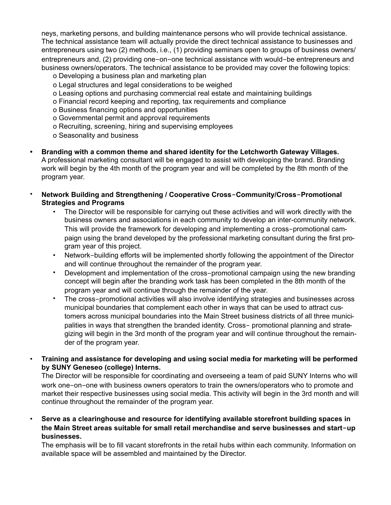neys, marketing persons, and building maintenance persons who will provide technical assistance. The technical assistance team will actually provide the direct technical assistance to businesses and entrepreneurs using two (2) methods, i.e., (1) providing seminars open to groups of business owners/ entrepreneurs and, (2) providing one-on-one technical assistance with would-be entrepreneurs and business owners/operators. The technical assistance to be provided may cover the following topics:

- o Developing a business plan and marketing plan
- o Legal structures and legal considerations to be weighed
- o Leasing options and purchasing commercial real estate and maintaining buildings
- o Financial record keeping and reporting, tax requirements and compliance
- o Business financing options and opportunities
- o Governmental permit and approval requirements
- o Recruiting, screening, hiring and supervising employees
- o Seasonality and business
- **• Branding with a common theme and shared identity for the Letchworth Gateway Villages.**  A professional marketing consultant will be engaged to assist with developing the brand. Branding work will begin by the 4th month of the program year and will be completed by the 8th month of the program year.
- **Network Building and Strengthening / Cooperative Cross-Community/Cross-Promotional Strategies and Programs** 
	- The Director will be responsible for carrying out these activities and will work directly with the business owners and associations in each community to develop an inter-community network. This will provide the framework for developing and implementing a cross-promotional campaign using the brand developed by the professional marketing consultant during the first program year of this project.
	- Network-building efforts will be implemented shortly following the appointment of the Director and will continue throughout the remainder of the program year.
	- Development and implementation of the cross-promotional campaign using the new branding concept will begin after the branding work task has been completed in the 8th month of the program year and will continue through the remainder of the year.
	- The cross-promotional activities will also involve identifying strategies and businesses across municipal boundaries that complement each other in ways that can be used to attract customers across municipal boundaries into the Main Street business districts of all three municipalities in ways that strengthen the branded identity. Cross- promotional planning and strategizing will begin in the 3rd month of the program year and will continue throughout the remainder of the program year.
- **Training and assistance for developing and using social media for marketing will be performed by SUNY Geneseo (college) Interns.**

The Director will be responsible for coordinating and overseeing a team of paid SUNY Interns who will work one-on-one with business owners operators to train the owners/operators who to promote and market their respective businesses using social media. This activity will begin in the 3rd month and will continue throughout the remainder of the program year.

• **Serve as a clearinghouse and resource for identifying available storefront building spaces in the Main Street areas suitable for small retail merchandise and serve businesses and start-up businesses.** 

The emphasis will be to fill vacant storefronts in the retail hubs within each community. Information on available space will be assembled and maintained by the Director.